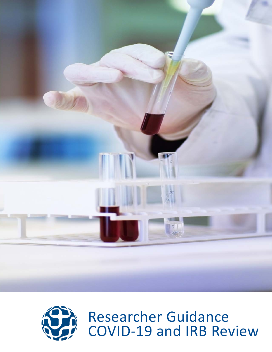



Researcher Guidance COVID-19 and IRB Review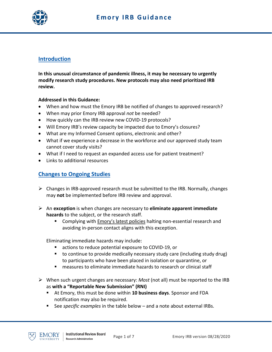

## **Introduction**

**In this unusual circumstance of pandemic illness, it may be necessary to urgently modify research study procedures. New protocols may also need prioritized IRB review.**

#### **Addressed in this Guidance:**

- When and how must the Emory IRB be notified of changes to approved research?
- When may prior Emory IRB approval *not* be needed?
- How quickly can the IRB review new COVID-19 protocols?
- Will Emory IRB's review capacity be impacted due to Emory's closures?
- What are my Informed Consent options, electronic and other?
- What if we experience a decrease in the workforce and our approved study team cannot cover study visits?
- What if I need to request an expanded access use for patient treatment?
- Links to additional resources

## **Changes to Ongoing Studies**

- $\triangleright$  Changes in IRB-approved research must be submitted to the IRB. Normally, changes may **not** be implemented before IRB review and approval.
- An **exception** is when changes are necessary to **eliminate apparent immediate hazards** to the subject, or the research staff.
	- Complying with [Emory's latest policies](http://www.or.emory.edu/COVID/index.html) halting non-essential research and avoiding in-person contact aligns with this exception.

Eliminating immediate hazards may include:

- actions to reduce potential exposure to COVID-19, or
- to continue to provide medically necessary study care (including study drug) to participants who have been placed in isolation or quarantine, or
- measures to eliminate immediate hazards to research or clinical staff
- When such urgent changes are necessary: *Most* (not all) must be reported to the IRB as **with a "Reportable New Submission" (RNI)**
	- At Emory, this must be done within **10 business days**. Sponsor and FDA notification may also be required.
	- See *specific examples* in the table below and a note about external IRBs.

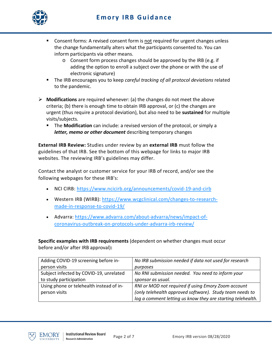# **Emory IRB Guidance**



- Consent forms: A revised consent form is not required for urgent changes unless the change fundamentally alters what the participants consented to. You can inform participants via other means.
	- o Consent form process changes should be approved by the IRB (e.g. if adding the option to enroll a subject over the phone or with the use of electronic signature)
- The IRB encourages you to keep *careful tracking of all protocol deviations* related to the pandemic.
- **Modifications** are required whenever: (a) the changes do not meet the above criteria; (b) there is enough time to obtain IRB approval, or (c) the changes are urgent (thus require a protocol deviation), but also need to be **sustained** for multiple visits/subjects.
	- The **Modification** can include: a revised version of the protocol, or simply a *letter, memo or other document* describing temporary changes

**External IRB Review:** Studies under review by an **external IRB** must follow the guidelines of that IRB. See the bottom of this webpage for links to major IRB websites. The reviewing IRB's guidelines may differ.

Contact the analyst or customer service for your IRB of record, and/or see the following webpages for these IRB's:

- NCI CIRB: <https://www.ncicirb.org/announcements/covid-19-and-cirb>
- Western IRB (WIRB): [https://www.wcgclinical.com/changes-to-research](https://www.wcgclinical.com/changes-to-research-made-in-response-to-covid-19/)[made-in-response-to-covid-19/](https://www.wcgclinical.com/changes-to-research-made-in-response-to-covid-19/)
- Advarra: [https://www.advarra.com/about-advarra/news/impact-of](https://www.advarra.com/about-advarra/news/impact-of-coronavirus-outbreak-on-protocols-under-advarra-irb-review/)[coronavirus-outbreak-on-protocols-under-advarra-irb-review/](https://www.advarra.com/about-advarra/news/impact-of-coronavirus-outbreak-on-protocols-under-advarra-irb-review/)

**Specific examples with IRB requirements** (dependent on whether changes must occur before and/or after IRB approval)**:**

| Adding COVID-19 screening before in-     | No IRB submission needed if data not used for research      |
|------------------------------------------|-------------------------------------------------------------|
| person visits                            | purposes                                                    |
| Subject infected by COVID-19, unrelated  | No RNI submission needed. You need to inform your           |
| to study participation                   | sponsor as usual.                                           |
| Using phone or telehealth instead of in- | RNI or MOD not required if using Emory Zoom account         |
| person visits                            | (only telehealth approved software). Study team needs to    |
|                                          | log a comment letting us know they are starting telehealth. |

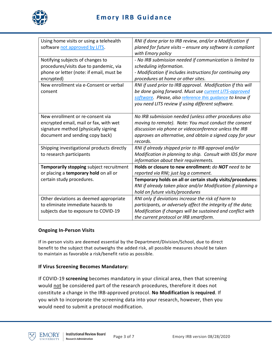

# **Emory IRB Guidance**

| Using home visits or using a telehealth<br>software not approved by LITS.                                                                             | RNI if done prior to IRB review, and/or a Modification if<br>planed for future visits – ensure any software is compliant<br>with Emory policy                                                                                                       |
|-------------------------------------------------------------------------------------------------------------------------------------------------------|-----------------------------------------------------------------------------------------------------------------------------------------------------------------------------------------------------------------------------------------------------|
| Notifying subjects of changes to<br>procedures/visits due to pandemic, via<br>phone or letter (note: if email, must be<br>encrypted)                  | - No IRB submission needed if communication is limited to<br>scheduling information.<br>- Modification if includes instructions for continuing any<br>procedures at home or other sites.                                                            |
| New enrollment via e-Consent or verbal<br>consent                                                                                                     | RNI if used prior to IRB approval. Modification if this will<br>be done going forward. Must use current LITS-approved<br>software. Please, also reference this quidance to know if<br>you need LITS review if using different software.             |
| New enrollment or re-consent via<br>encrypted email, mail or fax, with wet<br>signature method (physically signing<br>document and sending copy back) | No IRB submission needed (unless other procedures also<br>moving to remote). Note: You must conduct the consent<br>discussion via phone or videoconference unless the IRB<br>approves an alternative, and obtain a signed copy for your<br>records. |
| Shipping investigational products directly<br>to research participants                                                                                | RNI if already shipped prior to IRB approval and/or<br>Modification in planning to ship. Consult with IDS for more<br>information about their requirements.                                                                                         |
| Temporarily stopping subject recruitment<br>or placing a temporary hold on all or                                                                     | Holds or closure to new enrollment: do NOT need to be<br>reported via RNI; just log a comment.                                                                                                                                                      |
| certain study procedures.                                                                                                                             | Temporary holds on all or certain study visits/procedures:<br>RNI if already taken place and/or Modification if planning a<br>hold on future visits/procedures                                                                                      |
| Other deviations as deemed appropriate<br>to eliminate immediate hazards to<br>subjects due to exposure to COVID-19                                   | RNI only if deviations increase the risk of harm to<br>participants, or adversely affect the integrity of the data;<br>Modification if changes will be sustained and conflict with<br>the current protocol or IRB smartform.                        |

#### **Ongoing In-Person Visits**

If in-person visits are deemed essential by the Department/Division/School, due to direct benefit to the subject that outweighs the added risk, all possible measures should be taken to maintain as favorable a risk/benefit ratio as possible.

#### **If Virus Screening Becomes Mandatory:**

If COVID-19 **screening** becomes mandatory in your clinical area, then that screening would not be considered part of the research procedures, therefore it does not constitute a change in the IRB-approved protocol. **No Modification is required**. If you wish to incorporate the screening data into your research, however, then you would need to submit a protocol modification.

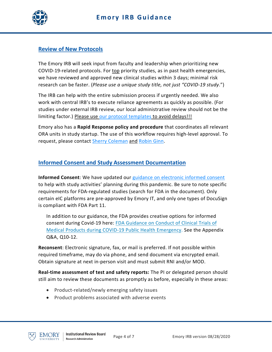

## **Review of New Protocols**

The Emory IRB will seek input from faculty and leadership when prioritizing new COVID-19-related protocols. For top priority studies, as in past health emergencies, we have reviewed and approved new clinical studies within 3 days; minimal risk research can be faster. (*Please use a unique study title, not just "COVID-19 study*.")

The IRB can help with the entire submission process if urgently needed. We also work with central IRB's to execute reliance agreements as quickly as possible. (For studies under external IRB review, our local administrative review should not be the limiting factor.) Please use [our protocol templates](http://irb.emory.edu/forms/Study%20Submission.html#collapse3) to avoid delays!!!

Emory also has a **Rapid Response policy and procedure** that coordinates all relevant ORA units in study startup. The use of this workflow requires high-level approval. To request, please contact [Sherry Coleman](mailto:scole23@emory.edu) and [Robin Ginn.](mailto:rginn@emory.edu)

## **Informed Consent and Study Assessment Documentation**

**Informed Consent**: We have updated our [guidance on electronic informed consent](http://irb.emory.edu/documents/guidance-eICF_use.pdf) to help with study activities' planning during this pandemic. Be sure to note specific requirements for FDA-regulated studies (search for FDA in the document). Only certain eIC platforms are pre-approved by Emory IT, and only one types of DocuSign is compliant with FDA Part 11.

In addition to our guidance, the FDA provides creative options for informed consent during Covid-19 here: [FDA Guidance on Conduct of Clinical Trials of](https://www.fda.gov/media/136238/download)  [Medical Products during COVID-19 Public Health Emergency.](https://www.fda.gov/media/136238/download) See the Appendix Q&A, Q10-12.

**Reconsent**: Electronic signature, fax, or mail is preferred. If not possible within required timeframe, may do via phone, and send document via encrypted email. Obtain signature at next in-person visit and must submit RNI and/or MOD.

**Real-time assessment of test and safety reports:** The PI or delegated person should still aim to review these documents as promptly as before, especially in these areas:

- Product-related/newly emerging safety issues
- Product problems associated with adverse events

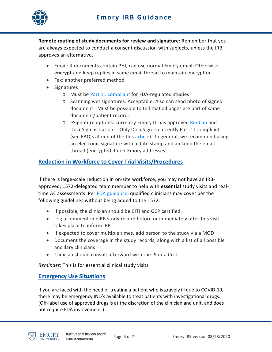

**Remote routing of study documents for review and signature:** Remember that you are always expected to conduct a consent discussion with subjects, unless the IRB approves an alternative.

- Email: If documents contain PHI, can use normal Emory email. Otherwise, **encrypt** and keep replies in same email thread to maintain encryption
- Fax: another preferred method
- Signatures
	- o Must be [Part 11 compliant](https://www.fda.gov/media/75414/download) for FDA-regulated studies
	- o Scanning wet signatures: Acceptable. Also can send photo of signed document. Must be possible to tell that all pages are part of same document/patient record.
	- o eSignature options: currently Emory IT has approved [RedCap](https://it.emory.edu/catalog/data-and-reporting/redcap.html) and DocuSign as options. Only DocuSign is currently Part 11 compliant (see FAQ's at end of the this [article\)](https://emory.service-now.com/sp?id=kb_article&sysparm_article=KB06501&sys_kb_id=ada034c91b0cdc54239addbcdd4bcbbb). In general, we recommend using an electronic signature with a date stamp and an keep the email thread (encrypted if non-Emory addresses)

### **Reduction in Workforce to Cover Trial Visits/Procedures**

If there is large-scale reduction in on-site workforce, you may not have an IRBapproved, 1572-delegated team member to help with **essential** study visits and realtime AE assessments. Per [FDA guidance,](https://www.fda.gov/media/78830/download) qualified clinicians may cover per the following guidelines without being added to the 1572:

- If possible, the clinician should be CITI and GCP certified.
- Log a comment in eIRB study record before or immediately after this visit takes place to inform IRB
- If expected to cover multiple times, add person to the study via a MOD
- Document the coverage in the study records, along with a list of all possible ancillary clinicians
- Clinician should consult afterward with the PI or a Co-I

*Reminder*: This is for essential clinical study visits

### **Emergency Use Situations**

If you are faced with the need of treating a patient who is gravely ill due to COVID-19, there may be emergency IND's available to treat patients with investigational drugs. (Off-label use of approved drugs is at the discretion of the clinician and unit, and does not require FDA involvement.)

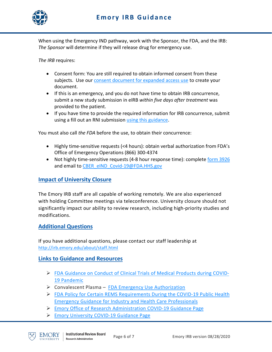

When using the Emergency IND pathway, work with the Sponsor, the FDA, and the IRB: *The Sponsor* will determine if they will release drug for emergency use.

*The IRB* requires:

- Consent form: You are still required to obtain informed consent from these subjects. Use our [consent document for expanded access use](http://irb.emory.edu/documents/Emory_Expanded%20Access%20IND%20or%20IDE_ICFHIPAA_Template.doc) to create your document.
- If this is an emergency, and you do not have time to obtain IRB concurrence, submit a new study submission in eIRB *within five days after treatment* was provided to the patient.
- If you have time to provide the required information for IRB concurrence, submit using a fill out an RNI submission [using this guidance.](http://irb.emory.edu/documents/guidance-expanded-access-concurrence.pdf)

You must also call *the FDA* before the use, to obtain their concurrence:

- Highly time-sensitive requests (<4 hours): obtain verbal authorization from FDA's Office of Emergency Operations (866) 300-4374
- Not highly time-sensitive requests (4-8 hour response time): complete [form 3926](https://www.fda.gov/media/98616/download) and email to [CBER\\_eIND\\_Covid-19@FDA.HHS.gov](mailto:CBER_eIND_Covid-19@FDA.HHS.gov)

#### **Impact of University Closure**

The Emory IRB staff are all capable of working remotely. We are also experienced with holding Committee meetings via teleconference. University closure should not significantly impact our ability to review research, including high-priority studies and modifications.

#### **Additional Questions**

If you have additional questions, please contact our staff leadership at <http://irb.emory.edu/about/staff.html>

### **Links to Guidance and Resources**

- $\triangleright$  [FDA Guidance on Conduct of Clinical Trials of Medical Products during COVID-](https://www.fda.gov/regulatory-information/search-fda-guidance-documents/fda-guidance-conduct-clinical-trials-medical-products-during-covid-19-pandemic)[19 Pandemic](https://www.fda.gov/regulatory-information/search-fda-guidance-documents/fda-guidance-conduct-clinical-trials-medical-products-during-covid-19-pandemic)
- $\triangleright$  Convalescent Plasma [FDA Emergency Use Authorization](https://www.fda.gov/news-events/press-announcements/fda-issues-emergency-use-authorization-convalescent-plasma-potential-promising-covid-19-treatment)
- [FDA Policy for Certain REMS Requirements During the COVID-19 Public Health](https://www.fda.gov/regulatory-information/search-fda-guidance-documents/policy-certain-rems-requirements-during-covid-19-public-health-emergency-guidance-industry-and)  [Emergency Guidance for Industry and Health Care Professionals](https://www.fda.gov/regulatory-information/search-fda-guidance-documents/policy-certain-rems-requirements-during-covid-19-public-health-emergency-guidance-industry-and)
- [Emory Office of Research Administration COVID-19 Guidance Page](http://www.or.emory.edu/COVID/index.html)
- [Emory University COVID-19 Guidance Page](https://www.emory.edu/coronavirus/)